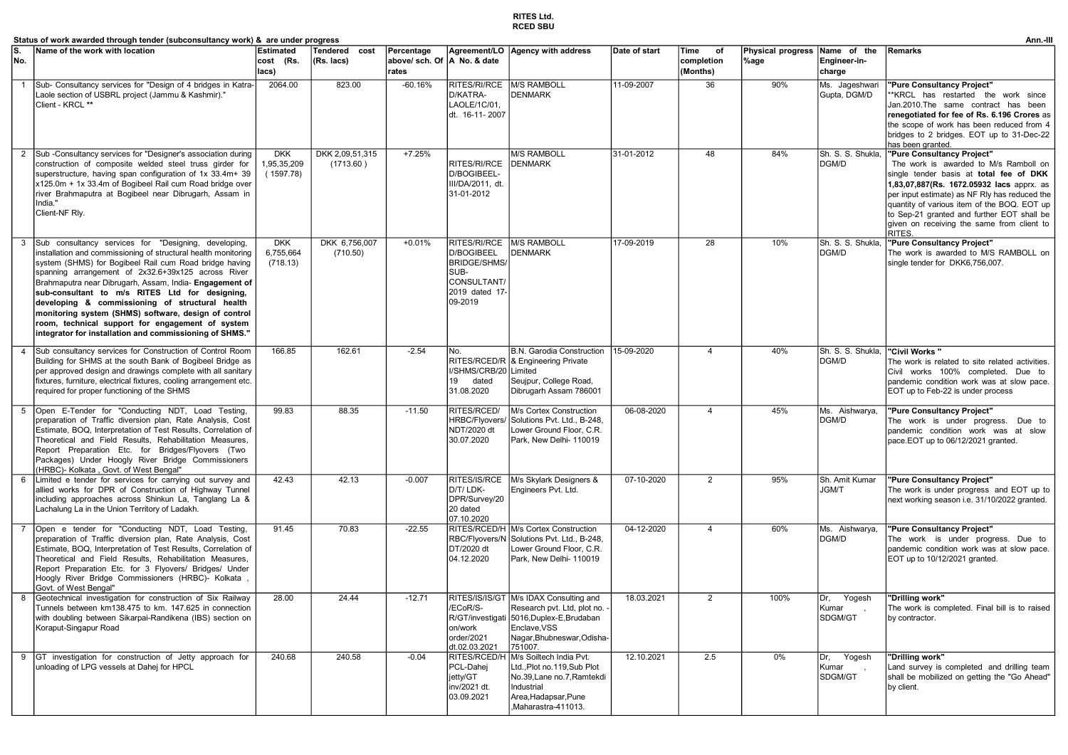## RITES Ltd. RCED SBU

|                | Status of work awarded through tender (subconsultancy work) &  are under progress                                                                                                                                                                                                                                                                                                                                                                                                                                                                                             |                                        |                              |                                                     |                                                                                                       |                                                                                                                                                                          |               |                                      |                                  |                                       | Ann.-III                                                                                                                                                                                                                                                                                                                                                          |
|----------------|-------------------------------------------------------------------------------------------------------------------------------------------------------------------------------------------------------------------------------------------------------------------------------------------------------------------------------------------------------------------------------------------------------------------------------------------------------------------------------------------------------------------------------------------------------------------------------|----------------------------------------|------------------------------|-----------------------------------------------------|-------------------------------------------------------------------------------------------------------|--------------------------------------------------------------------------------------------------------------------------------------------------------------------------|---------------|--------------------------------------|----------------------------------|---------------------------------------|-------------------------------------------------------------------------------------------------------------------------------------------------------------------------------------------------------------------------------------------------------------------------------------------------------------------------------------------------------------------|
| No.            | Name of the work with location                                                                                                                                                                                                                                                                                                                                                                                                                                                                                                                                                | <b>Estimated</b><br>cost (Rs.<br>lacs) | Tendered cost<br>(Rs. lacs)  | Percentage<br>above/ sch. Of  A No. & date<br>rates |                                                                                                       | Agreement/LO   Agency with address                                                                                                                                       | Date of start | Time<br>of<br>completion<br>(Months) | <b>Physical progress</b><br>%age | Name of the<br>Engineer-in-<br>charge | Remarks                                                                                                                                                                                                                                                                                                                                                           |
| $\overline{1}$ | Sub- Consultancy services for "Design of 4 bridges in Katra-<br>Laole section of USBRL project (Jammu & Kashmir)."<br>Client - KRCL **                                                                                                                                                                                                                                                                                                                                                                                                                                        | 2064.00                                | 823.00                       | $-60.16%$                                           | RITES/RI/RCE<br>D/KATRA-<br>LAOLE/1C/01,<br>dt. 16-11-2007                                            | M/S RAMBOLL<br><b>DENMARK</b>                                                                                                                                            | 11-09-2007    | 36                                   | 90%                              | Ms. Jageshwari<br>Gupta, DGM/D        | "Pure Consultancy Project"<br>*KRCL has restarted the work since<br>Jan.2010.The same contract has been<br>renegotiated for fee of Rs. 6.196 Crores as<br>the scope of work has been reduced from 4<br>bridges to 2 bridges. EOT up to 31-Dec-22<br>has been granted.                                                                                             |
| 2              | Sub-Consultancy services for "Designer's association during<br>construction of composite welded steel truss girder for<br>superstructure, having span configuration of 1x 33.4m+ 39<br>x125.0m + 1x 33.4m of Bogibeel Rail cum Road bridge over<br>river Brahmaputra at Bogibeel near Dibrugarh, Assam in<br>India."<br>Client-NF Rly.                                                                                                                                                                                                                                        | <b>DKK</b><br>1,95,35,209<br>(1597.78) | DKK 2,09,51,315<br>(1713.60) | $+7.25%$                                            | RITES/RI/RCE<br>D/BOGIBEEL-<br>III/DA/2011, dt.<br>31-01-2012                                         | <b>M/S RAMBOLL</b><br><b>DENMARK</b>                                                                                                                                     | 31-01-2012    | 48                                   | 84%                              | Sh. S. S. Shukla,<br>DGM/D            | "Pure Consultancy Project"<br>The work is awarded to M/s Ramboll on<br>single tender basis at total fee of DKK<br>1,83,07,887(Rs. 1672.05932 lacs apprx. as<br>per input estimate) as NF Rly has reduced the<br>quantity of various item of the BOQ. EOT up<br>to Sep-21 granted and further EOT shall be<br>given on receiving the same from client to<br>RITES. |
|                | Sub consultancy services for "Designing, developing,<br>installation and commissioning of structural health monitoring<br>system (SHMS) for Bogibeel Rail cum Road bridge having<br>spanning arrangement of 2x32.6+39x125 across River<br>Brahmaputra near Dibrugarh, Assam, India- Engagement of<br>sub-consultant to m/s RITES Ltd for designing,<br>developing & commissioning of structural health<br>monitoring system (SHMS) software, design of control<br>room, technical support for engagement of system<br>integrator for installation and commissioning of SHMS." | <b>DKK</b><br>6,755,664<br>(718.13)    | DKK 6,756,007<br>(710.50)    | $+0.01%$                                            | RITES/RI/RCE<br>D/BOGIBEEL<br><b>BRIDGE/SHMS/</b><br>SUB-<br>CONSULTANT/<br>2019 dated 17-<br>09-2019 | M/S RAMBOLL<br><b>DENMARK</b>                                                                                                                                            | 17-09-2019    | 28                                   | 10%                              | Sh. S. S. Shukla<br>DGM/D             | "Pure Consultancy Project"<br>The work is awarded to M/S RAMBOLL on<br>single tender for DKK6,756,007.                                                                                                                                                                                                                                                            |
| $\overline{4}$ | Sub consultancy services for Construction of Control Room<br>Building for SHMS at the south Bank of Bogibeel Bridge as<br>per approved design and drawings complete with all sanitary<br>fixtures, furniture, electrical fixtures, cooling arrangement etc.<br>required for proper functioning of the SHMS                                                                                                                                                                                                                                                                    | 166.85                                 | 162.61                       | $-2.54$                                             | No.<br>I/SHMS/CRB/20 Limited<br>19<br>dated<br>31.08.2020                                             | B.N. Garodia Construction<br>RITES/RCED/R   & Engineering Private<br>Seujpur, College Road,<br>Dibrugarh Assam 786001                                                    | 15-09-2020    | 4                                    | 40%                              | Sh. S. S. Shukla,<br>DGM/D            | "Civil Works"<br>The work is related to site related activities.<br>Civil works 100% completed. Due to<br>pandemic condition work was at slow pace.<br>EOT up to Feb-22 is under process                                                                                                                                                                          |
| 5              | Open E-Tender for "Conducting NDT, Load Testing,<br>preparation of Traffic diversion plan, Rate Analysis, Cost<br>Estimate, BOQ, Interpretation of Test Results, Correlation of<br>Theoretical and Field Results, Rehabilitation Measures,<br>Report Preparation Etc. for Bridges/Flyovers (Two<br>Packages) Under Hoogly River Bridge Commissioners<br>HRBC)- Kolkata, Govt. of West Bengal"                                                                                                                                                                                 | 99.83                                  | 88.35                        | $-11.50$                                            | RITES/RCED/<br><b>HRBC/Flyovers</b><br>NDT/2020 dt<br>30.07.2020                                      | M/s Cortex Construction<br>Solutions Pvt. Ltd., B-248,<br>Lower Ground Floor, C.R.<br>Park, New Delhi- 110019                                                            | 06-08-2020    | $\overline{4}$                       | 45%                              | Ms. Aishwarya,<br>DGM/D               | "Pure Consultancy Project"<br>The work is under progress. Due to<br>pandemic condition work was at slow<br>pace.EOT up to 06/12/2021 granted.                                                                                                                                                                                                                     |
| 6              | Limited e tender for services for carrying out survey and<br>allied works for DPR of Construction of Highway Tunnel<br>including approaches across Shinkun La, Tanglang La &<br>Lachalung La in the Union Territory of Ladakh.                                                                                                                                                                                                                                                                                                                                                | 42.43                                  | 42.13                        | $-0.007$                                            | D/T/ LDK-<br>DPR/Survey/20<br>20 dated<br>07.10.2020                                                  | RITES/IS/RCE   M/s Skylark Designers &<br>Engineers Pvt. Ltd.                                                                                                            | 07-10-2020    | $\overline{2}$                       | 95%                              | Sh. Amit Kumar<br><b>JGM/T</b>        | "Pure Consultancy Project"<br>The work is under progress and EOT up to<br>next working season i.e. 31/10/2022 granted.                                                                                                                                                                                                                                            |
|                | Open e tender for "Conducting NDT, Load Testing,<br>preparation of Traffic diversion plan, Rate Analysis, Cost<br>Estimate, BOQ, Interpretation of Test Results, Correlation of<br>Theoretical and Field Results, Rehabilitation Measures,<br>Report Preparation Etc. for 3 Flyovers/ Bridges/ Under<br>Hoogly River Bridge Commissioners (HRBC)- Kolkata<br>Govt. of West Bengal"                                                                                                                                                                                            | 91.45                                  | 70.83                        | $-22.55$                                            | DT/2020 dt<br>04.12.2020                                                                              | RITES/RCED/H M/s Cortex Construction<br>RBC/Flyovers/N Solutions Pvt. Ltd., B-248,<br>Lower Ground Floor, C.R.<br>Park, New Delhi- 110019                                | 04-12-2020    | $\overline{4}$                       | 60%                              | Ms. Aishwarya,<br>DGM/D               | "Pure Consultancy Project"<br>The work is under progress. Due to<br>pandemic condition work was at slow pace.<br>EOT up to 10/12/2021 granted.                                                                                                                                                                                                                    |
| 8              | Geotechnical investigation for construction of Six Railway<br>Tunnels between km138.475 to km. 147.625 in connection<br>with doubling between Sikarpai-Randikena (IBS) section on<br>Koraput-Singapur Road                                                                                                                                                                                                                                                                                                                                                                    | 28.00                                  | 24.44                        | $-12.71$                                            | /ECoR/S-<br>on/work<br>order/2021<br>dt.02.03.2021                                                    | RITES/IS/IS/GT M/s IDAX Consulting and<br>Research pvt. Ltd, plot no.<br>R/GT/investigati 5016, Duplex-E, Brudaban<br>Enclave.VSS<br>Nagar.Bhubneswar.Odisha-<br>751007. | 18.03.2021    | $\overline{2}$                       | 100%                             | Yogesh<br>Dr.<br>Kumar<br>SDGM/GT     | "Drillina work"<br>The work is completed. Final bill is to raised<br>by contractor.                                                                                                                                                                                                                                                                               |
|                | 9 GT investigation for construction of Jetty approach for<br>unloading of LPG vessels at Dahej for HPCL                                                                                                                                                                                                                                                                                                                                                                                                                                                                       | 240.68                                 | 240.58                       | $-0.04$                                             | PCL-Dahej<br>jetty/GT<br>inv/2021 dt.<br>03.09.2021                                                   | RITES/RCED/H M/s Soiltech India Pvt.<br>Ltd., Plot no.119, Sub Plot<br>No.39, Lane no.7, Ramtekdi<br>Industrial<br>Area, Hadapsar, Pune<br>,Maharastra-411013.           | 12.10.2021    | 2.5                                  | 0%                               | Dr.<br>Yogesh<br>Kumar<br>SDGM/GT     | "Drilling work"<br>Land survey is completed and drilling team<br>shall be mobilized on getting the "Go Ahead"<br>by client.                                                                                                                                                                                                                                       |